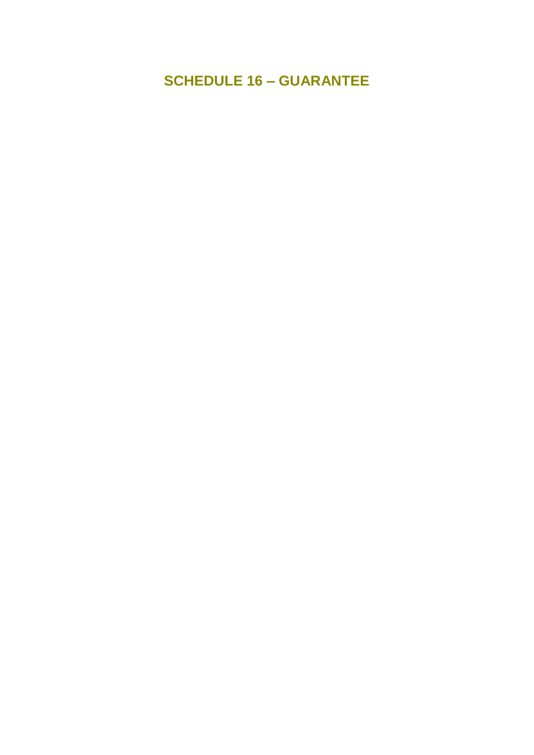**SCHEDULE 16 – GUARANTEE**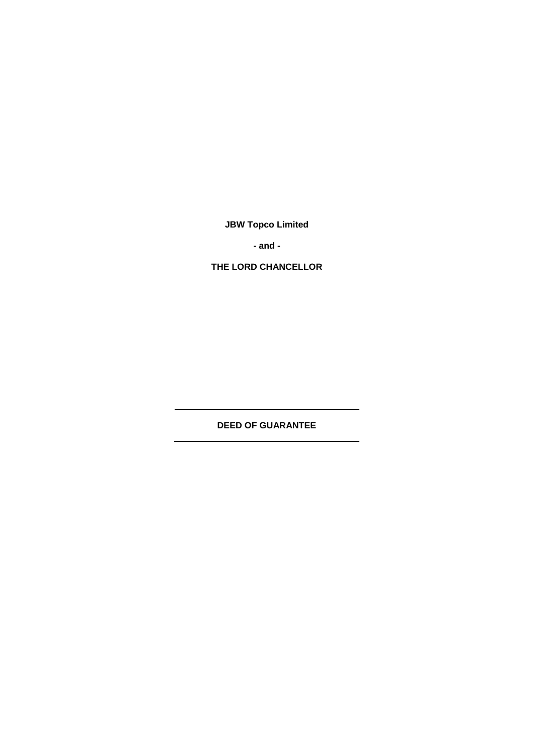**JBW Topco Limited**

**- and -**

**THE LORD CHANCELLOR**

**DEED OF GUARANTEE**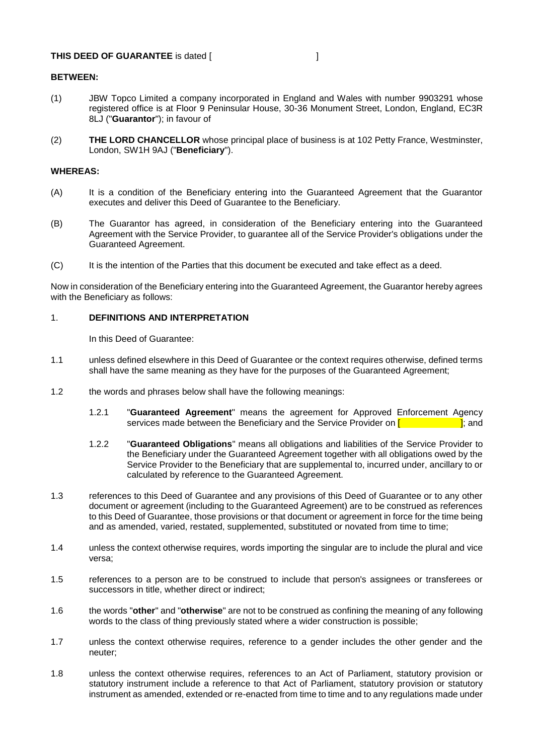#### **THIS DEED OF GUARANTEE** is dated [

## **BETWEEN:**

- (1) JBW Topco Limited a company incorporated in England and Wales with number 9903291 whose registered office is at Floor 9 Peninsular House, 30-36 Monument Street, London, England, EC3R 8LJ ("**Guarantor**"); in favour of
- (2) **THE LORD CHANCELLOR** whose principal place of business is at 102 Petty France, Westminster, London, SW1H 9AJ ("**Beneficiary**").

### **WHEREAS:**

- (A) It is a condition of the Beneficiary entering into the Guaranteed Agreement that the Guarantor executes and deliver this Deed of Guarantee to the Beneficiary.
- (B) The Guarantor has agreed, in consideration of the Beneficiary entering into the Guaranteed Agreement with the Service Provider, to guarantee all of the Service Provider's obligations under the Guaranteed Agreement.
- (C) It is the intention of the Parties that this document be executed and take effect as a deed.

Now in consideration of the Beneficiary entering into the Guaranteed Agreement, the Guarantor hereby agrees with the Beneficiary as follows:

### 1. **DEFINITIONS AND INTERPRETATION**

In this Deed of Guarantee:

- 1.1 unless defined elsewhere in this Deed of Guarantee or the context requires otherwise, defined terms shall have the same meaning as they have for the purposes of the Guaranteed Agreement;
- 1.2 the words and phrases below shall have the following meanings:
	- 1.2.1 "**Guaranteed Agreement**" means the agreement for Approved Enforcement Agency services made between the Beneficiary and the Service Provider on  $\begin{bmatrix} \cdot & \cdot & \cdot \\ \cdot & \cdot & \cdot \\ \cdot & \cdot & \cdot \end{bmatrix}$ ; and
	- 1.2.2 "**Guaranteed Obligations**" means all obligations and liabilities of the Service Provider to the Beneficiary under the Guaranteed Agreement together with all obligations owed by the Service Provider to the Beneficiary that are supplemental to, incurred under, ancillary to or calculated by reference to the Guaranteed Agreement.
- 1.3 references to this Deed of Guarantee and any provisions of this Deed of Guarantee or to any other document or agreement (including to the Guaranteed Agreement) are to be construed as references to this Deed of Guarantee, those provisions or that document or agreement in force for the time being and as amended, varied, restated, supplemented, substituted or novated from time to time;
- 1.4 unless the context otherwise requires, words importing the singular are to include the plural and vice versa;
- 1.5 references to a person are to be construed to include that person's assignees or transferees or successors in title, whether direct or indirect;
- 1.6 the words "**other**" and "**otherwise**" are not to be construed as confining the meaning of any following words to the class of thing previously stated where a wider construction is possible;
- 1.7 unless the context otherwise requires, reference to a gender includes the other gender and the neuter;
- 1.8 unless the context otherwise requires, references to an Act of Parliament, statutory provision or statutory instrument include a reference to that Act of Parliament, statutory provision or statutory instrument as amended, extended or re-enacted from time to time and to any regulations made under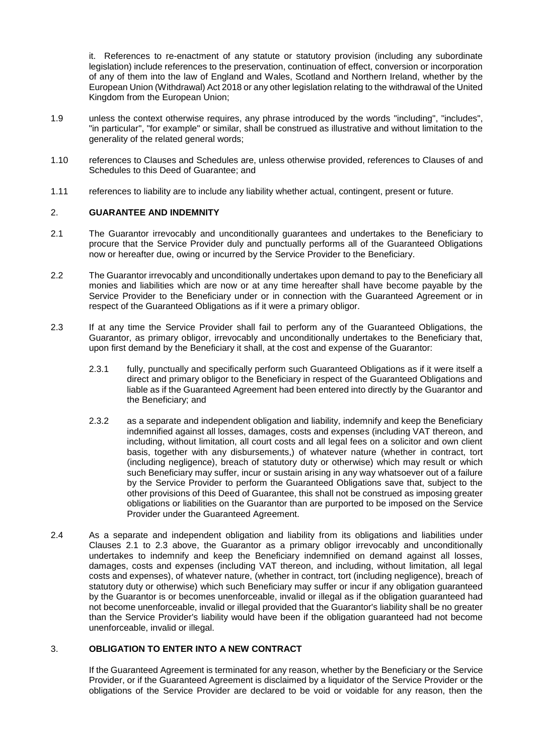it. References to re-enactment of any statute or statutory provision (including any subordinate legislation) include references to the preservation, continuation of effect, conversion or incorporation of any of them into the law of England and Wales, Scotland and Northern Ireland, whether by the European Union (Withdrawal) Act 2018 or any other legislation relating to the withdrawal of the United Kingdom from the European Union;

- 1.9 unless the context otherwise requires, any phrase introduced by the words "including", "includes", "in particular", "for example" or similar, shall be construed as illustrative and without limitation to the generality of the related general words;
- 1.10 references to Clauses and Schedules are, unless otherwise provided, references to Clauses of and Schedules to this Deed of Guarantee; and
- 1.11 references to liability are to include any liability whether actual, contingent, present or future.

## 2. **GUARANTEE AND INDEMNITY**

- <span id="page-3-0"></span>2.1 The Guarantor irrevocably and unconditionally guarantees and undertakes to the Beneficiary to procure that the Service Provider duly and punctually performs all of the Guaranteed Obligations now or hereafter due, owing or incurred by the Service Provider to the Beneficiary.
- 2.2 The Guarantor irrevocably and unconditionally undertakes upon demand to pay to the Beneficiary all monies and liabilities which are now or at any time hereafter shall have become payable by the Service Provider to the Beneficiary under or in connection with the Guaranteed Agreement or in respect of the Guaranteed Obligations as if it were a primary obligor.
- <span id="page-3-1"></span>2.3 If at any time the Service Provider shall fail to perform any of the Guaranteed Obligations, the Guarantor, as primary obligor, irrevocably and unconditionally undertakes to the Beneficiary that, upon first demand by the Beneficiary it shall, at the cost and expense of the Guarantor:
	- 2.3.1 fully, punctually and specifically perform such Guaranteed Obligations as if it were itself a direct and primary obligor to the Beneficiary in respect of the Guaranteed Obligations and liable as if the Guaranteed Agreement had been entered into directly by the Guarantor and the Beneficiary; and
	- 2.3.2 as a separate and independent obligation and liability, indemnify and keep the Beneficiary indemnified against all losses, damages, costs and expenses (including VAT thereon, and including, without limitation, all court costs and all legal fees on a solicitor and own client basis, together with any disbursements,) of whatever nature (whether in contract, tort (including negligence), breach of statutory duty or otherwise) which may result or which such Beneficiary may suffer, incur or sustain arising in any way whatsoever out of a failure by the Service Provider to perform the Guaranteed Obligations save that, subject to the other provisions of this Deed of Guarantee, this shall not be construed as imposing greater obligations or liabilities on the Guarantor than are purported to be imposed on the Service Provider under the Guaranteed Agreement.
- 2.4 As a separate and independent obligation and liability from its obligations and liabilities under Clauses [2.1](#page-3-0) to [2.3](#page-3-1) above, the Guarantor as a primary obligor irrevocably and unconditionally undertakes to indemnify and keep the Beneficiary indemnified on demand against all losses, damages, costs and expenses (including VAT thereon, and including, without limitation, all legal costs and expenses), of whatever nature, (whether in contract, tort (including negligence), breach of statutory duty or otherwise) which such Beneficiary may suffer or incur if any obligation guaranteed by the Guarantor is or becomes unenforceable, invalid or illegal as if the obligation guaranteed had not become unenforceable, invalid or illegal provided that the Guarantor's liability shall be no greater than the Service Provider's liability would have been if the obligation guaranteed had not become unenforceable, invalid or illegal.

# <span id="page-3-2"></span>3. **OBLIGATION TO ENTER INTO A NEW CONTRACT**

If the Guaranteed Agreement is terminated for any reason, whether by the Beneficiary or the Service Provider, or if the Guaranteed Agreement is disclaimed by a liquidator of the Service Provider or the obligations of the Service Provider are declared to be void or voidable for any reason, then the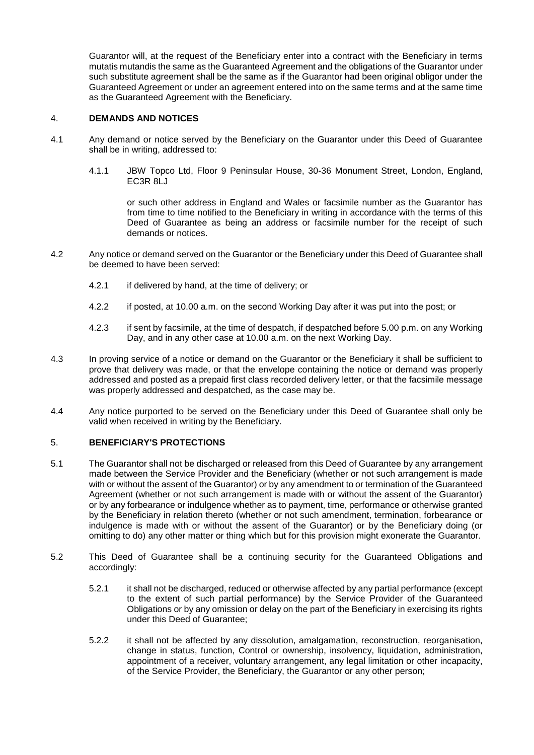Guarantor will, at the request of the Beneficiary enter into a contract with the Beneficiary in terms mutatis mutandis the same as the Guaranteed Agreement and the obligations of the Guarantor under such substitute agreement shall be the same as if the Guarantor had been original obligor under the Guaranteed Agreement or under an agreement entered into on the same terms and at the same time as the Guaranteed Agreement with the Beneficiary.

## 4. **DEMANDS AND NOTICES**

- 4.1 Any demand or notice served by the Beneficiary on the Guarantor under this Deed of Guarantee shall be in writing, addressed to:
	- 4.1.1 JBW Topco Ltd, Floor 9 Peninsular House, 30-36 Monument Street, London, England, EC3R 8LJ

or such other address in England and Wales or facsimile number as the Guarantor has from time to time notified to the Beneficiary in writing in accordance with the terms of this Deed of Guarantee as being an address or facsimile number for the receipt of such demands or notices.

- 4.2 Any notice or demand served on the Guarantor or the Beneficiary under this Deed of Guarantee shall be deemed to have been served:
	- 4.2.1 if delivered by hand, at the time of delivery; or
	- 4.2.2 if posted, at 10.00 a.m. on the second Working Day after it was put into the post; or
	- 4.2.3 if sent by facsimile, at the time of despatch, if despatched before 5.00 p.m. on any Working Day, and in any other case at 10.00 a.m. on the next Working Day.
- 4.3 In proving service of a notice or demand on the Guarantor or the Beneficiary it shall be sufficient to prove that delivery was made, or that the envelope containing the notice or demand was properly addressed and posted as a prepaid first class recorded delivery letter, or that the facsimile message was properly addressed and despatched, as the case may be.
- 4.4 Any notice purported to be served on the Beneficiary under this Deed of Guarantee shall only be valid when received in writing by the Beneficiary.

## <span id="page-4-0"></span>5. **BENEFICIARY'S PROTECTIONS**

- 5.1 The Guarantor shall not be discharged or released from this Deed of Guarantee by any arrangement made between the Service Provider and the Beneficiary (whether or not such arrangement is made with or without the assent of the Guarantor) or by any amendment to or termination of the Guaranteed Agreement (whether or not such arrangement is made with or without the assent of the Guarantor) or by any forbearance or indulgence whether as to payment, time, performance or otherwise granted by the Beneficiary in relation thereto (whether or not such amendment, termination, forbearance or indulgence is made with or without the assent of the Guarantor) or by the Beneficiary doing (or omitting to do) any other matter or thing which but for this provision might exonerate the Guarantor.
- 5.2 This Deed of Guarantee shall be a continuing security for the Guaranteed Obligations and accordingly:
	- 5.2.1 it shall not be discharged, reduced or otherwise affected by any partial performance (except to the extent of such partial performance) by the Service Provider of the Guaranteed Obligations or by any omission or delay on the part of the Beneficiary in exercising its rights under this Deed of Guarantee;
	- 5.2.2 it shall not be affected by any dissolution, amalgamation, reconstruction, reorganisation, change in status, function, Control or ownership, insolvency, liquidation, administration, appointment of a receiver, voluntary arrangement, any legal limitation or other incapacity, of the Service Provider, the Beneficiary, the Guarantor or any other person;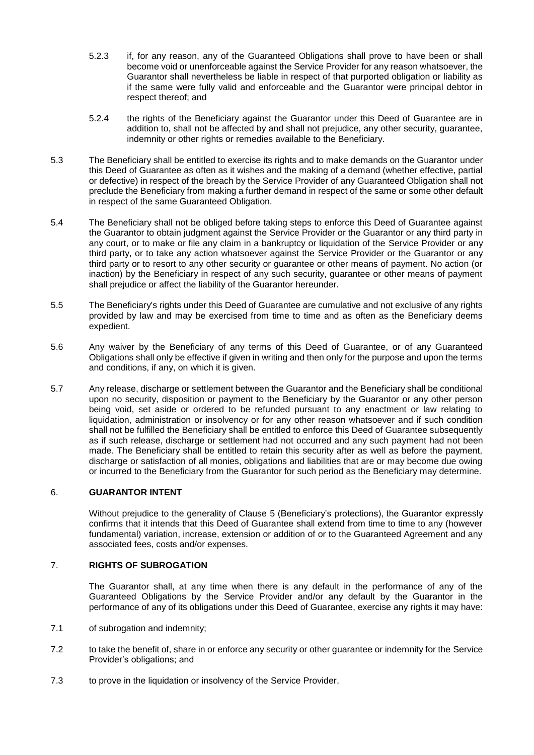- 5.2.3 if, for any reason, any of the Guaranteed Obligations shall prove to have been or shall become void or unenforceable against the Service Provider for any reason whatsoever, the Guarantor shall nevertheless be liable in respect of that purported obligation or liability as if the same were fully valid and enforceable and the Guarantor were principal debtor in respect thereof; and
- 5.2.4 the rights of the Beneficiary against the Guarantor under this Deed of Guarantee are in addition to, shall not be affected by and shall not prejudice, any other security, guarantee, indemnity or other rights or remedies available to the Beneficiary.
- 5.3 The Beneficiary shall be entitled to exercise its rights and to make demands on the Guarantor under this Deed of Guarantee as often as it wishes and the making of a demand (whether effective, partial or defective) in respect of the breach by the Service Provider of any Guaranteed Obligation shall not preclude the Beneficiary from making a further demand in respect of the same or some other default in respect of the same Guaranteed Obligation.
- 5.4 The Beneficiary shall not be obliged before taking steps to enforce this Deed of Guarantee against the Guarantor to obtain judgment against the Service Provider or the Guarantor or any third party in any court, or to make or file any claim in a bankruptcy or liquidation of the Service Provider or any third party, or to take any action whatsoever against the Service Provider or the Guarantor or any third party or to resort to any other security or guarantee or other means of payment. No action (or inaction) by the Beneficiary in respect of any such security, guarantee or other means of payment shall prejudice or affect the liability of the Guarantor hereunder.
- 5.5 The Beneficiary's rights under this Deed of Guarantee are cumulative and not exclusive of any rights provided by law and may be exercised from time to time and as often as the Beneficiary deems expedient.
- 5.6 Any waiver by the Beneficiary of any terms of this Deed of Guarantee, or of any Guaranteed Obligations shall only be effective if given in writing and then only for the purpose and upon the terms and conditions, if any, on which it is given.
- 5.7 Any release, discharge or settlement between the Guarantor and the Beneficiary shall be conditional upon no security, disposition or payment to the Beneficiary by the Guarantor or any other person being void, set aside or ordered to be refunded pursuant to any enactment or law relating to liquidation, administration or insolvency or for any other reason whatsoever and if such condition shall not be fulfilled the Beneficiary shall be entitled to enforce this Deed of Guarantee subsequently as if such release, discharge or settlement had not occurred and any such payment had not been made. The Beneficiary shall be entitled to retain this security after as well as before the payment, discharge or satisfaction of all monies, obligations and liabilities that are or may become due owing or incurred to the Beneficiary from the Guarantor for such period as the Beneficiary may determine.

# 6. **GUARANTOR INTENT**

Without prejudice to the generality of Clause [5](#page-4-0) (Beneficiary's protections), the Guarantor expressly confirms that it intends that this Deed of Guarantee shall extend from time to time to any (however fundamental) variation, increase, extension or addition of or to the Guaranteed Agreement and any associated fees, costs and/or expenses.

# 7. **RIGHTS OF SUBROGATION**

The Guarantor shall, at any time when there is any default in the performance of any of the Guaranteed Obligations by the Service Provider and/or any default by the Guarantor in the performance of any of its obligations under this Deed of Guarantee, exercise any rights it may have:

- 7.1 of subrogation and indemnity;
- 7.2 to take the benefit of, share in or enforce any security or other guarantee or indemnity for the Service Provider's obligations; and
- 7.3 to prove in the liquidation or insolvency of the Service Provider,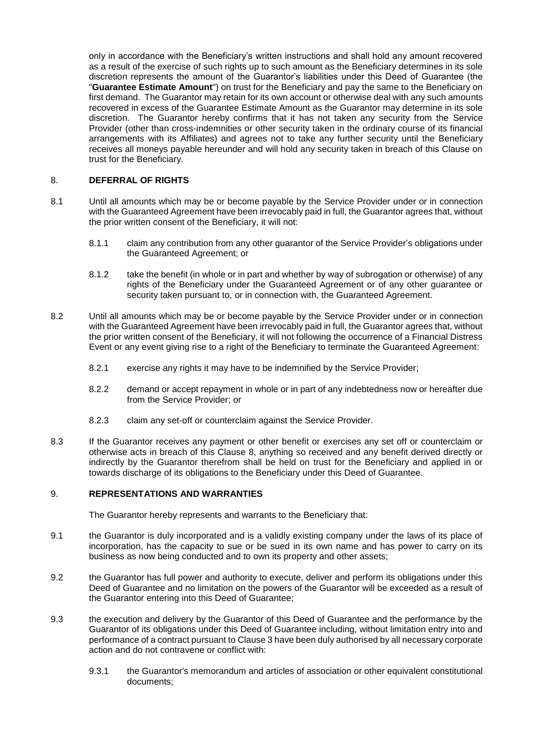only in accordance with the Beneficiary's written instructions and shall hold any amount recovered as a result of the exercise of such rights up to such amount as the Beneficiary determines in its sole discretion represents the amount of the Guarantor's liabilities under this Deed of Guarantee (the "**Guarantee Estimate Amount**") on trust for the Beneficiary and pay the same to the Beneficiary on first demand. The Guarantor may retain for its own account or otherwise deal with any such amounts recovered in excess of the Guarantee Estimate Amount as the Guarantor may determine in its sole discretion. The Guarantor hereby confirms that it has not taken any security from the Service Provider (other than cross-indemnities or other security taken in the ordinary course of its financial arrangements with its Affiliates) and agrees not to take any further security until the Beneficiary receives all moneys payable hereunder and will hold any security taken in breach of this Clause on trust for the Beneficiary.

## <span id="page-6-0"></span>8. **DEFERRAL OF RIGHTS**

- 8.1 Until all amounts which may be or become payable by the Service Provider under or in connection with the Guaranteed Agreement have been irrevocably paid in full, the Guarantor agrees that, without the prior written consent of the Beneficiary, it will not:
	- 8.1.1 claim any contribution from any other guarantor of the Service Provider's obligations under the Guaranteed Agreement; or
	- 8.1.2 take the benefit (in whole or in part and whether by way of subrogation or otherwise) of any rights of the Beneficiary under the Guaranteed Agreement or of any other guarantee or security taken pursuant to, or in connection with, the Guaranteed Agreement.
- 8.2 Until all amounts which may be or become payable by the Service Provider under or in connection with the Guaranteed Agreement have been irrevocably paid in full, the Guarantor agrees that, without the prior written consent of the Beneficiary, it will not following the occurrence of a Financial Distress Event or any event giving rise to a right of the Beneficiary to terminate the Guaranteed Agreement:
	- 8.2.1 exercise any rights it may have to be indemnified by the Service Provider;
	- 8.2.2 demand or accept repayment in whole or in part of any indebtedness now or hereafter due from the Service Provider; or
	- 8.2.3 claim any set-off or counterclaim against the Service Provider.
- 8.3 If the Guarantor receives any payment or other benefit or exercises any set off or counterclaim or otherwise acts in breach of this Clause [8,](#page-6-0) anything so received and any benefit derived directly or indirectly by the Guarantor therefrom shall be held on trust for the Beneficiary and applied in or towards discharge of its obligations to the Beneficiary under this Deed of Guarantee.

## 9. **REPRESENTATIONS AND WARRANTIES**

The Guarantor hereby represents and warrants to the Beneficiary that:

- 9.1 the Guarantor is duly incorporated and is a validly existing company under the laws of its place of incorporation, has the capacity to sue or be sued in its own name and has power to carry on its business as now being conducted and to own its property and other assets;
- 9.2 the Guarantor has full power and authority to execute, deliver and perform its obligations under this Deed of Guarantee and no limitation on the powers of the Guarantor will be exceeded as a result of the Guarantor entering into this Deed of Guarantee;
- 9.3 the execution and delivery by the Guarantor of this Deed of Guarantee and the performance by the Guarantor of its obligations under this Deed of Guarantee including, without limitation entry into and performance of a contract pursuant to Claus[e 3](#page-3-2) have been duly authorised by all necessary corporate action and do not contravene or conflict with:
	- 9.3.1 the Guarantor's memorandum and articles of association or other equivalent constitutional documents;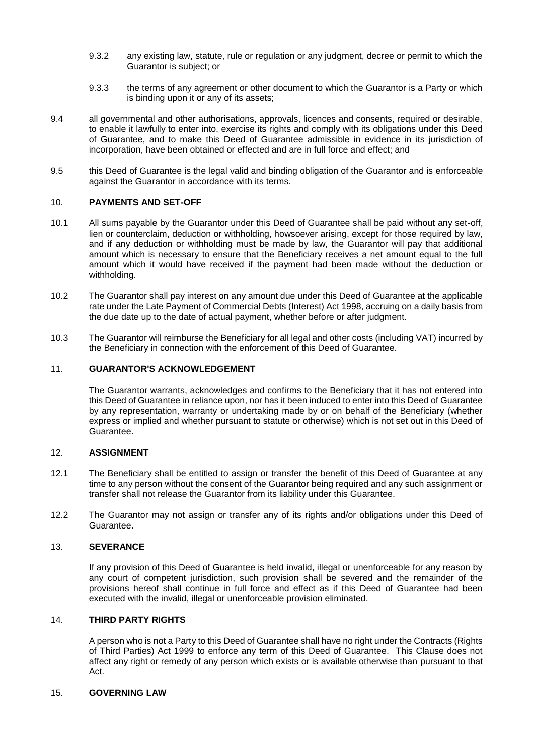- 9.3.2 any existing law, statute, rule or regulation or any judgment, decree or permit to which the Guarantor is subject; or
- 9.3.3 the terms of any agreement or other document to which the Guarantor is a Party or which is binding upon it or any of its assets;
- 9.4 all governmental and other authorisations, approvals, licences and consents, required or desirable, to enable it lawfully to enter into, exercise its rights and comply with its obligations under this Deed of Guarantee, and to make this Deed of Guarantee admissible in evidence in its jurisdiction of incorporation, have been obtained or effected and are in full force and effect; and
- 9.5 this Deed of Guarantee is the legal valid and binding obligation of the Guarantor and is enforceable against the Guarantor in accordance with its terms.

## 10. **PAYMENTS AND SET-OFF**

- 10.1 All sums payable by the Guarantor under this Deed of Guarantee shall be paid without any set-off, lien or counterclaim, deduction or withholding, howsoever arising, except for those required by law, and if any deduction or withholding must be made by law, the Guarantor will pay that additional amount which is necessary to ensure that the Beneficiary receives a net amount equal to the full amount which it would have received if the payment had been made without the deduction or withholding.
- 10.2 The Guarantor shall pay interest on any amount due under this Deed of Guarantee at the applicable rate under the Late Payment of Commercial Debts (Interest) Act 1998, accruing on a daily basis from the due date up to the date of actual payment, whether before or after judgment.
- 10.3 The Guarantor will reimburse the Beneficiary for all legal and other costs (including VAT) incurred by the Beneficiary in connection with the enforcement of this Deed of Guarantee.

## 11. **GUARANTOR'S ACKNOWLEDGEMENT**

The Guarantor warrants, acknowledges and confirms to the Beneficiary that it has not entered into this Deed of Guarantee in reliance upon, nor has it been induced to enter into this Deed of Guarantee by any representation, warranty or undertaking made by or on behalf of the Beneficiary (whether express or implied and whether pursuant to statute or otherwise) which is not set out in this Deed of Guarantee.

#### 12. **ASSIGNMENT**

- 12.1 The Beneficiary shall be entitled to assign or transfer the benefit of this Deed of Guarantee at any time to any person without the consent of the Guarantor being required and any such assignment or transfer shall not release the Guarantor from its liability under this Guarantee.
- 12.2 The Guarantor may not assign or transfer any of its rights and/or obligations under this Deed of Guarantee.

### 13. **SEVERANCE**

If any provision of this Deed of Guarantee is held invalid, illegal or unenforceable for any reason by any court of competent jurisdiction, such provision shall be severed and the remainder of the provisions hereof shall continue in full force and effect as if this Deed of Guarantee had been executed with the invalid, illegal or unenforceable provision eliminated.

#### 14. **THIRD PARTY RIGHTS**

A person who is not a Party to this Deed of Guarantee shall have no right under the Contracts (Rights of Third Parties) Act 1999 to enforce any term of this Deed of Guarantee. This Clause does not affect any right or remedy of any person which exists or is available otherwise than pursuant to that Act.

## 15. **GOVERNING LAW**